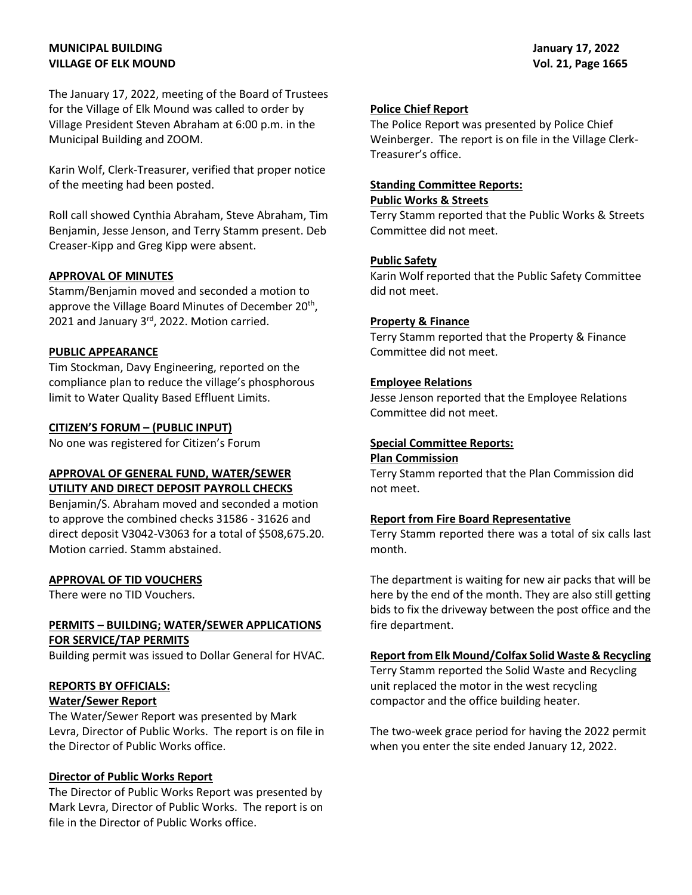# **MUNICIPAL BUILDING VILLAGE OF ELK MOUND**

The January 17, 2022, meeting of the Board of Trustees for the Village of Elk Mound was called to order by Village President Steven Abraham at 6:00 p.m. in the Municipal Building and ZOOM.

Karin Wolf, Clerk-Treasurer, verified that proper notice of the meeting had been posted.

Roll call showed Cynthia Abraham, Steve Abraham, Tim Benjamin, Jesse Jenson, and Terry Stamm present. Deb Creaser-Kipp and Greg Kipp were absent.

#### **APPROVAL OF MINUTES**

Stamm/Benjamin moved and seconded a motion to approve the Village Board Minutes of December 20<sup>th</sup>, 2021 and January 3rd, 2022. Motion carried.

#### **PUBLIC APPEARANCE**

Tim Stockman, Davy Engineering, reported on the compliance plan to reduce the village's phosphorous limit to Water Quality Based Effluent Limits.

#### **CITIZEN'S FORUM – (PUBLIC INPUT)**

No one was registered for Citizen's Forum

## **APPROVAL OF GENERAL FUND, WATER/SEWER UTILITY AND DIRECT DEPOSIT PAYROLL CHECKS**

Benjamin/S. Abraham moved and seconded a motion to approve the combined checks 31586 - 31626 and direct deposit V3042-V3063 for a total of \$508,675.20. Motion carried. Stamm abstained.

## **APPROVAL OF TID VOUCHERS**

There were no TID Vouchers.

# **PERMITS – BUILDING; WATER/SEWER APPLICATIONS FOR SERVICE/TAP PERMITS**

Building permit was issued to Dollar General for HVAC.

## **REPORTS BY OFFICIALS:**

# **Water/Sewer Report**

The Water/Sewer Report was presented by Mark Levra, Director of Public Works. The report is on file in the Director of Public Works office.

## **Director of Public Works Report**

The Director of Public Works Report was presented by Mark Levra, Director of Public Works. The report is on file in the Director of Public Works office.

#### **Police Chief Report**

The Police Report was presented by Police Chief Weinberger. The report is on file in the Village Clerk-Treasurer's office.

#### **Standing Committee Reports:**

#### **Public Works & Streets**

Terry Stamm reported that the Public Works & Streets Committee did not meet.

#### **Public Safety**

Karin Wolf reported that the Public Safety Committee did not meet.

#### **Property & Finance**

Terry Stamm reported that the Property & Finance Committee did not meet.

#### **Employee Relations**

Jesse Jenson reported that the Employee Relations Committee did not meet.

### **Special Committee Reports:**

#### **Plan Commission**

Terry Stamm reported that the Plan Commission did not meet.

#### **Report from Fire Board Representative**

Terry Stamm reported there was a total of six calls last month.

The department is waiting for new air packs that will be here by the end of the month. They are also still getting bids to fix the driveway between the post office and the fire department.

## **Report from Elk Mound/Colfax Solid Waste & Recycling**

Terry Stamm reported the Solid Waste and Recycling unit replaced the motor in the west recycling compactor and the office building heater.

The two-week grace period for having the 2022 permit when you enter the site ended January 12, 2022.